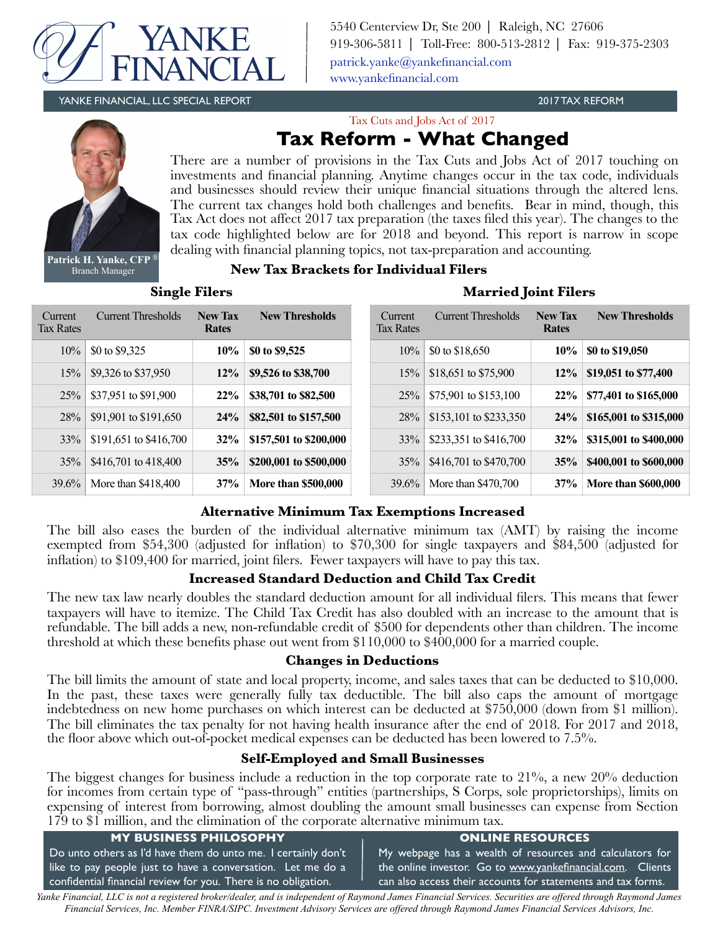

5540 Centerview Dr, Ste 200 ⎜ Raleigh, NC 27606 919-306-5811 ⎜ Toll-Free: 800-513-2812 ⎜ Fax: 919-375-2303 [patrick.yanke@yankefinancial.com](mailto:?subject=) [www.yankefinancial.com](http://www.yankefinancial.com)

YANKE FINANCIAL, LLC SPECIAL REPORT 2017 TAX REFORM

Tax Cuts and Jobs Act of 2017



**Patrick H. Yanke, CFP** ® Branch Manager

# **Tax Reform - What Changed**

There are a number of provisions in the Tax Cuts and Jobs Act of 2017 touching on investments and financial planning. Anytime changes occur in the tax code, individuals and businesses should review their unique financial situations through the altered lens. The current tax changes hold both challenges and benefits. Bear in mind, though, this Tax Act does not affect 2017 tax preparation (the taxes filed this year). The changes to the tax code highlighted below are for 2018 and beyond. This report is narrow in scope dealing with financial planning topics, not tax-preparation and accounting.

## **New Tax Brackets for Individual Filers**

**Single Filers Married Solution** 

|  |  | <b>Married Joint Filers</b> |  |
|--|--|-----------------------------|--|
|  |  |                             |  |

| Current<br><b>Tax Rates</b> | <b>Current Thresholds</b> | <b>New Tax</b><br><b>Rates</b> | <b>New Thresholds</b>      | Current<br><b>Tax Rates</b> | <b>Current Thresholds</b> | <b>New Tax</b><br>Rates | <b>New Thresholds</b>      |
|-----------------------------|---------------------------|--------------------------------|----------------------------|-----------------------------|---------------------------|-------------------------|----------------------------|
| 10%                         | \$0 to \$9,325            | $10\%$                         | \$0 to \$9,525             | 10%                         | \$0 to $$18,650$          | 10%                     | \$0 to \$19,050            |
| 15%                         | \$9,326 to \$37,950       | $12\%$                         | \$9,526 to \$38,700        | 15%                         | \$18,651 to \$75,900      | $12\%$                  | \$19,051 to \$77,400       |
| 25%                         | \$37,951 to \$91,900      | 22%                            | \$38,701 to \$82,500       | 25%                         | \$75,901 to \$153,100     | 22%                     | \$77,401 to \$165,000      |
| 28%                         | \$91,901 to \$191,650     | 24%                            | \$82,501 to \$157,500      | 28%                         | \$153,101 to \$233,350    | 24%                     | \$165,001 to \$315,000     |
| 33%                         | \$191,651 to \$416,700    | 32%                            | \$157,501 to \$200,000     | 33%                         | \$233,351 to \$416,700    | 32%                     | \$315,001 to \$400,000     |
| 35%                         | \$416,701 to 418,400      | 35%                            | \$200,001 to \$500,000     | 35%                         | \$416,701 to \$470,700    | 35%                     | \$400,001 to \$600,000     |
| 39.6%                       | More than \$418,400       | 37%                            | <b>More than \$500,000</b> | 39.6%                       | More than \$470,700       | 37%                     | <b>More than \$600,000</b> |

## **Alternative Minimum Tax Exemptions Increased**

The bill also eases the burden of the individual alternative minimum tax (AMT) by raising the income exempted from \$54,300 (adjusted for inflation) to \$70,300 for single taxpayers and \$84,500 (adjusted for inflation) to \$109,400 for married, joint filers. Fewer taxpayers will have to pay this tax.

## **Increased Standard Deduction and Child Tax Credit**

The new tax law nearly doubles the standard deduction amount for all individual filers. This means that fewer taxpayers will have to itemize. The Child Tax Credit has also doubled with an increase to the amount that is refundable. The bill adds a new, non-refundable credit of \$500 for dependents other than children. The income threshold at which these benefits phase out went from \$110,000 to \$400,000 for a married couple.

## **Changes in Deductions**

The bill limits the amount of state and local property, income, and sales taxes that can be deducted to \$10,000. In the past, these taxes were generally fully tax deductible. The bill also caps the amount of mortgage indebtedness on new home purchases on which interest can be deducted at \$750,000 (down from \$1 million). The bill eliminates the tax penalty for not having health insurance after the end of 2018. For 2017 and 2018, the floor above which out-of-pocket medical expenses can be deducted has been lowered to 7.5%.

## **Self-Employed and Small Businesses**

The biggest changes for business include a reduction in the top corporate rate to 21%, a new 20% deduction for incomes from certain type of "pass-through" entities (partnerships, S Corps, sole proprietorships), limits on expensing of interest from borrowing, almost doubling the amount small businesses can expense from Section 179 to \$1 million, and the elimination of the corporate alternative minimum tax.

| The to will minimize the commutation of the corporate alternative minimized task |                                                              |  |  |  |
|----------------------------------------------------------------------------------|--------------------------------------------------------------|--|--|--|
| <b>MY BUSINESS PHILOSOPHY</b>                                                    | <b>ONLINE RESOURCES</b>                                      |  |  |  |
| Do unto others as I'd have them do unto me. I certainly don't                    | My webpage has a wealth of resources and calculators for     |  |  |  |
| like to pay people just to have a conversation. Let me do a                      | the online investor. Go to www.yankefinancial.com. Clients   |  |  |  |
| confidential financial review for you. There is no obligation.                   | can also access their accounts for statements and tax forms. |  |  |  |

*Yanke Financial, LLC is not a registered broker/dealer, and is independent of Raymond James Financial Services. Securities are offered through Raymond James Financial Services, Inc. Member FINRA/SIPC. Investment Advisory Services are offered through Raymond James Financial Services Advisors, Inc.*